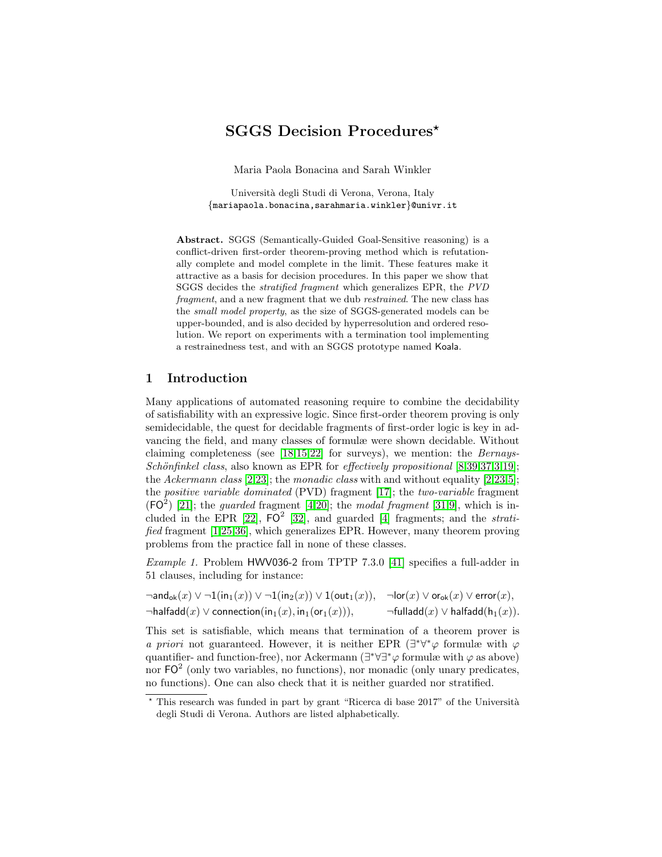# SGGS Decision Procedures?

Maria Paola Bonacina and Sarah Winkler

Universit`a degli Studi di Verona, Verona, Italy {mariapaola.bonacina,sarahmaria.winkler}@univr.it

Abstract. SGGS (Semantically-Guided Goal-Sensitive reasoning) is a conflict-driven first-order theorem-proving method which is refutationally complete and model complete in the limit. These features make it attractive as a basis for decision procedures. In this paper we show that SGGS decides the stratified fragment which generalizes EPR, the PVD fragment, and a new fragment that we dub restrained. The new class has the small model property, as the size of SGGS-generated models can be upper-bounded, and is also decided by hyperresolution and ordered resolution. We report on experiments with a termination tool implementing a restrainedness test, and with an SGGS prototype named Koala.

# 1 Introduction

Many applications of automated reasoning require to combine the decidability of satisfiability with an expressive logic. Since first-order theorem proving is only semidecidable, the quest for decidable fragments of first-order logic is key in advancing the field, and many classes of formulæ were shown decidable. Without claiming completeness (see [\[18](#page-16-0)[,15,](#page-16-1)[22\]](#page-17-0) for surveys), we mention: the Bernays-Schönfinkel class, also known as EPR for effectively propositional  $[8,39,37,3,19]$  $[8,39,37,3,19]$  $[8,39,37,3,19]$  $[8,39,37,3,19]$  $[8,39,37,3,19]$ ; the Ackermann class  $[2,23]$  $[2,23]$ ; the monadic class with and without equality  $[2,23,5]$  $[2,23,5]$  $[2,23,5]$ ; the positive variable dominated (PVD) fragment [\[17\]](#page-16-7); the two-variable fragment  $(FO<sup>2</sup>)$  [\[21\]](#page-17-4); the *guarded* fragment [\[4,](#page-16-8)[20\]](#page-17-5); the *modal fragment* [\[31,](#page-17-6)[9\]](#page-16-9), which is included in the EPR  $[22]$ ,  $FO^2$   $[32]$ , and guarded  $[4]$  fragments; and the *strati*fied fragment [\[1,](#page-16-10)[25](#page-17-8)[,36\]](#page-17-9), which generalizes EPR. However, many theorem proving problems from the practice fall in none of these classes.

<span id="page-0-0"></span>Example 1. Problem HWV036-2 from TPTP 7.3.0 [\[41\]](#page-17-10) specifies a full-adder in 51 clauses, including for instance:

 $\neg \text{and}_{\text{ok}}(x) \vee \neg 1(\text{in}_1(x)) \vee \neg 1(\text{in}_2(x)) \vee 1(\text{out}_1(x)), \quad \neg \text{lor}(x) \vee \text{or}_{\text{ok}}(x) \vee \text{error}(x),$  $\neg$ halfadd $(x) \vee$  connection $(in_1(x), in_1(or_1(x))),$   $\neg$   $\neg$  fulladd $(x) \vee$  halfadd $(h_1(x)).$ 

This set is satisfiable, which means that termination of a theorem prover is a priori not guaranteed. However, it is neither EPR  $(\exists^*\forall^*\varphi$  formulæ with  $\varphi$ quantifier- and function-free), nor Ackermann ( $\exists^*\forall \exists^*\varphi$  formulæ with  $\varphi$  as above) nor  $\textsf{FO}^2$  (only two variables, no functions), nor monadic (only unary predicates, no functions). One can also check that it is neither guarded nor stratified.

 $*$  This research was funded in part by grant "Ricerca di base 2017" of the Università degli Studi di Verona. Authors are listed alphabetically.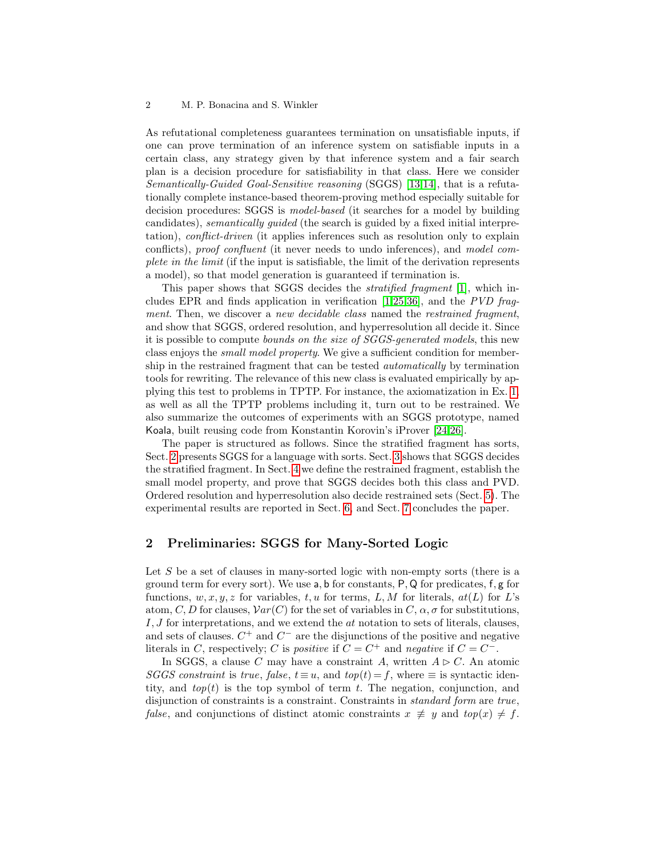As refutational completeness guarantees termination on unsatisfiable inputs, if one can prove termination of an inference system on satisfiable inputs in a certain class, any strategy given by that inference system and a fair search plan is a decision procedure for satisfiability in that class. Here we consider Semantically-Guided Goal-Sensitive reasoning (SGGS) [\[13](#page-16-11)[,14\]](#page-16-12), that is a refutationally complete instance-based theorem-proving method especially suitable for decision procedures: SGGS is model-based (it searches for a model by building candidates), semantically guided (the search is guided by a fixed initial interpretation), conflict-driven (it applies inferences such as resolution only to explain conflicts), proof confluent (it never needs to undo inferences), and model complete in the limit (if the input is satisfiable, the limit of the derivation represents a model), so that model generation is guaranteed if termination is.

This paper shows that SGGS decides the stratified fragment [\[1\]](#page-16-10), which includes EPR and finds application in verification  $[1,25,36]$  $[1,25,36]$  $[1,25,36]$ , and the *PVD frag*ment. Then, we discover a new decidable class named the restrained fragment, and show that SGGS, ordered resolution, and hyperresolution all decide it. Since it is possible to compute bounds on the size of SGGS-generated models, this new class enjoys the small model property. We give a sufficient condition for membership in the restrained fragment that can be tested automatically by termination tools for rewriting. The relevance of this new class is evaluated empirically by applying this test to problems in TPTP. For instance, the axiomatization in Ex. [1,](#page-0-0) as well as all the TPTP problems including it, turn out to be restrained. We also summarize the outcomes of experiments with an SGGS prototype, named Koala, built reusing code from Konstantin Korovin's iProver [\[24,](#page-17-11)[26\]](#page-17-12).

The paper is structured as follows. Since the stratified fragment has sorts, Sect. [2](#page-1-0) presents SGGS for a language with sorts. Sect. [3](#page-4-0) shows that SGGS decides the stratified fragment. In Sect. [4](#page-6-0) we define the restrained fragment, establish the small model property, and prove that SGGS decides both this class and PVD. Ordered resolution and hyperresolution also decide restrained sets (Sect. [5\)](#page-10-0). The experimental results are reported in Sect. [6,](#page-12-0) and Sect. [7](#page-14-0) concludes the paper.

# <span id="page-1-0"></span>2 Preliminaries: SGGS for Many-Sorted Logic

Let  $S$  be a set of clauses in many-sorted logic with non-empty sorts (there is a ground term for every sort). We use a, b for constants, P, Q for predicates, f, g for functions,  $w, x, y, z$  for variables, t, u for terms, L, M for literals,  $at(L)$  for L's atom, C, D for clauses,  $Var(C)$  for the set of variables in  $C, \alpha, \sigma$  for substitutions, I, J for interpretations, and we extend the at notation to sets of literals, clauses, and sets of clauses.  $C^+$  and  $C^-$  are the disjunctions of the positive and negative literals in C, respectively; C is positive if  $C = C^+$  and negative if  $C = C^-$ .

In SGGS, a clause C may have a constraint A, written  $A \triangleright C$ . An atomic SGGS constraint is true, false,  $t \equiv u$ , and  $top(t) = f$ , where  $\equiv$  is syntactic identity, and  $top(t)$  is the top symbol of term t. The negation, conjunction, and disjunction of constraints is a constraint. Constraints in *standard form* are true, false, and conjunctions of distinct atomic constraints  $x \neq y$  and  $top(x) \neq f$ .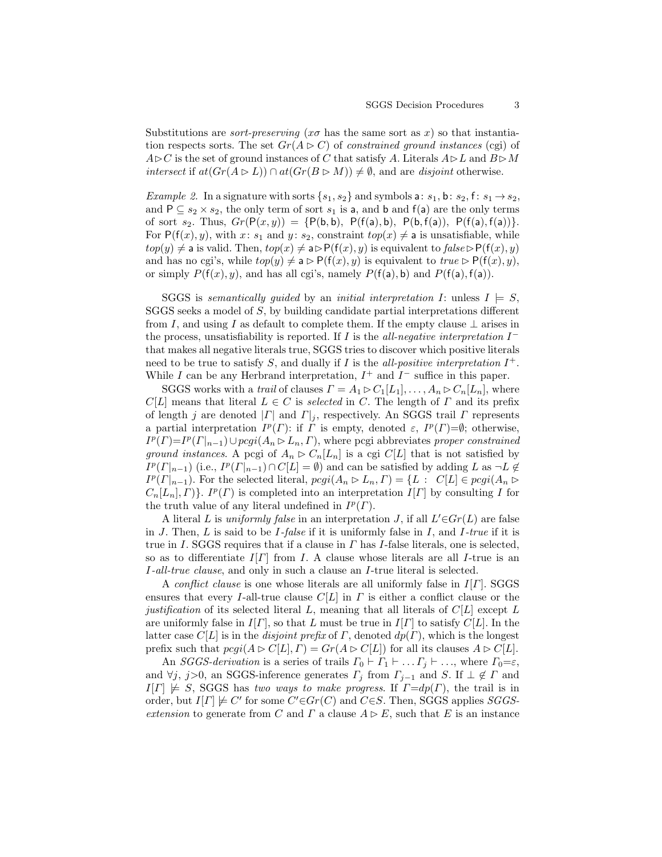Substitutions are *sort-preserving*  $(x\sigma)$  has the same sort as x so that instantiation respects sorts. The set  $Gr(A \triangleright C)$  of constrained ground instances (cgi) of  $A\triangleright C$  is the set of ground instances of C that satisfy A. Literals  $A\triangleright L$  and  $B\triangleright M$ intersect if  $at(Gr(A \triangleright L)) \cap at(Gr(B \triangleright M)) \neq \emptyset$ , and are disjoint otherwise.

<span id="page-2-0"></span>*Example 2.* In a signature with sorts  $\{s_1, s_2\}$  and symbols a:  $s_1$ , b:  $s_2$ , f:  $s_1 \rightarrow s_2$ , and  $P \subseteq s_2 \times s_2$ , the only term of sort  $s_1$  is a, and b and  $f(a)$  are the only terms of sort  $s_2$ . Thus,  $Gr(P(x, y)) = \{P(b, b), P(f(a), b), P(b, f(a)), P(f(a), f(a))\}.$ For  $P(f(x), y)$ , with x: s<sub>1</sub> and y: s<sub>2</sub>, constraint  $top(x) \neq a$  is unsatisfiable, while  $top(y) \neq a$  is valid. Then,  $top(x) \neq a \triangleright P(f(x), y)$  is equivalent to  $false \triangleright P(f(x), y)$ and has no cgi's, while  $top(y) \neq a \triangleright P(f(x), y)$  is equivalent to  $true \triangleright P(f(x), y)$ , or simply  $P(f(x), y)$ , and has all cgi's, namely  $P(f(a), b)$  and  $P(f(a), f(a))$ .

SGGS is semantically guided by an initial interpretation I: unless  $I \models S$ , SGGS seeks a model of S, by building candidate partial interpretations different from I, and using I as default to complete them. If the empty clause  $\perp$  arises in the process, unsatisfiability is reported. If  $I$  is the *all-negative interpretation*  $I^$ that makes all negative literals true, SGGS tries to discover which positive literals need to be true to satisfy S, and dually if I is the all-positive interpretation  $I^+$ . While I can be any Herbrand interpretation,  $I^+$  and  $I^-$  suffice in this paper.

SGGS works with a trail of clauses  $\Gamma = A_1 \triangleright C_1[L_1], \ldots, A_n \triangleright C_n[L_n],$  where  $C[L]$  means that literal  $L \in C$  is selected in C. The length of  $\Gamma$  and its prefix of length j are denoted  $|\Gamma|$  and  $\Gamma|_j$ , respectively. An SGGS trail  $\Gamma$  represents a partial interpretation  $I^p(\Gamma)$ : if  $\Gamma$  is empty, denoted  $\varepsilon$ ,  $I^p(\Gamma)=\emptyset$ ; otherwise,  $I^p(\Gamma) = I^p(\Gamma|_{n-1}) \cup pcgi(A_n \triangleright L_n, \Gamma)$ , where pcgi abbreviates proper constrained ground instances. A pcgi of  $A_n \triangleright C_n[L_n]$  is a cgi  $C[L]$  that is not satisfied by  $I^p(\Gamma|_{n-1})$  (i.e.,  $I^p(\Gamma|_{n-1})\cap C[L] = \emptyset$ ) and can be satisfied by adding L as  $\neg L \notin$  $I^p(\Gamma|_{n-1})$ . For the selected literal,  $p cgi(A_n \rhd L_n, \Gamma) = \{L : C[L] \in p cgi(A_n \rhd L_n, \Gamma)\}$  $C_n[L_n], \Gamma$ ).  $I^p(\Gamma)$  is completed into an interpretation  $I[\Gamma]$  by consulting I for the truth value of any literal undefined in  $I^p(\Gamma)$ .

A literal L is *uniformly false* in an interpretation J, if all  $L' \in Gr(L)$  are false in  $J$ . Then,  $L$  is said to be  $I$ -false if it is uniformly false in  $I$ , and  $I$ -true if it is true in I. SGGS requires that if a clause in  $\Gamma$  has I-false literals, one is selected, so as to differentiate  $I[\Gamma]$  from I. A clause whose literals are all I-true is an I-all-true clause, and only in such a clause an I-true literal is selected.

A *conflict clause* is one whose literals are all uniformly false in  $I[\Gamma]$ . SGGS ensures that every I-all-true clause  $C[L]$  in  $\Gamma$  is either a conflict clause or the justification of its selected literal  $L$ , meaning that all literals of  $C[L]$  except  $L$ are uniformly false in  $I[\Gamma]$ , so that L must be true in  $I[\Gamma]$  to satisfy  $C[L]$ . In the latter case  $C[L]$  is in the *disjoint prefix* of  $\Gamma$ , denoted  $dp(\Gamma)$ , which is the longest prefix such that  $\text{pcgi}(A \triangleright C[L], \Gamma) = \text{Gr}(A \triangleright C[L])$  for all its clauses  $A \triangleright C[L]$ .

An *SGGS-derivation* is a series of trails  $\Gamma_0 \vdash \Gamma_1 \vdash \ldots \Gamma_j \vdash \ldots$ , where  $\Gamma_0 = \varepsilon$ , and  $\forall j, j>0$ , an SGGS-inference generates  $\Gamma_j$  from  $\Gamma_{j-1}$  and S. If  $\bot \notin \Gamma$  and  $I[\Gamma] \not\models S$ , SGGS has two ways to make progress. If  $\Gamma = dp(\Gamma)$ , the trail is in order, but  $I[T] \not\models C'$  for some  $C' \in Gr(C)$  and  $C \in S$ . Then, SGGS applies SGGSextension to generate from C and  $\Gamma$  a clause  $A \triangleright E$ , such that E is an instance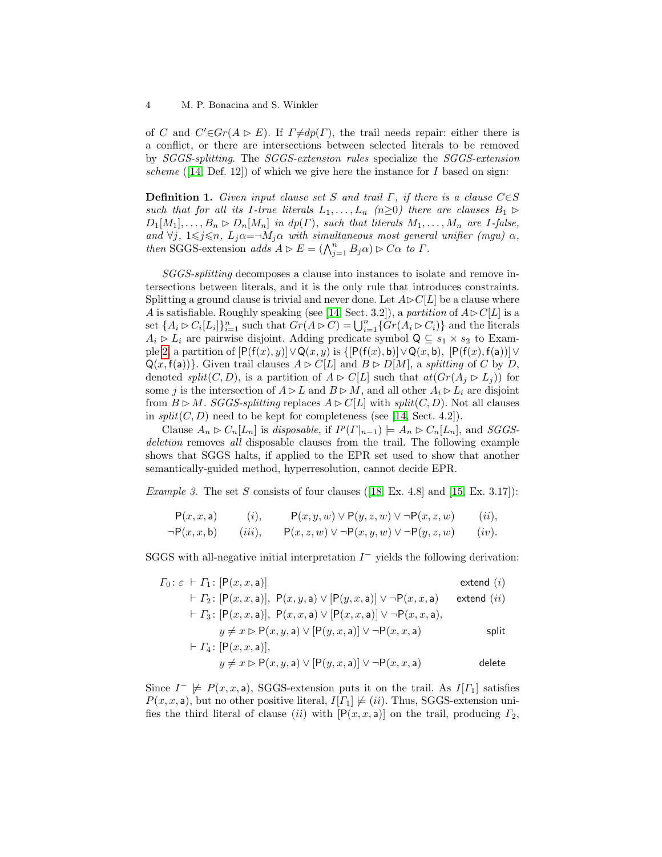of C and  $C' \in Gr(A \triangleright E)$ . If  $\Gamma \neq dp(\Gamma)$ , the trail needs repair: either there is a conflict, or there are intersections between selected literals to be removed by SGGS-splitting. The SGGS-extension rules specialize the SGGS-extension scheme ([\[14,](#page-16-12) Def. 12]) of which we give here the instance for  $I$  based on sign:

<span id="page-3-0"></span>**Definition 1.** Given input clause set S and trail  $\Gamma$ , if there is a clause  $C \in S$ such that for all its I-true literals  $L_1, \ldots, L_n$  (n≥0) there are clauses  $B_1 \triangleright$  $D_1[M_1], \ldots, B_n \triangleright D_n[M_n]$  in  $dp(\Gamma)$ , such that literals  $M_1, \ldots, M_n$  are I-false, and  $\forall j, 1 \leq j \leq n$ ,  $L_j \alpha = \neg M_j \alpha$  with simultaneous most general unifier (mgu)  $\alpha$ , then SGGS-extension adds  $A \triangleright E = (\bigwedge_{j=1}^{n} B_j \alpha) \triangleright C \alpha$  to  $\Gamma$ .

SGGS-splitting decomposes a clause into instances to isolate and remove intersections between literals, and it is the only rule that introduces constraints. Splitting a ground clause is trivial and never done. Let  $A \triangleright C[L]$  be a clause where A is satisfiable. Roughly speaking (see [\[14,](#page-16-12) Sect. 3.2]), a partition of  $A \triangleright C[L]$  is a set  $\{A_i \rhd C_i[L_i]\}_{i=1}^n$  such that  $\overline{Gr}(A \rhd C) = \bigcup_{i=1}^n \{\overline{Gr}(A_i \rhd C_i)\}\$ and the literals  $A_i \triangleright L_i$  are pairwise disjoint. Adding predicate symbol  $\mathsf{Q} \subseteq s_1 \times s_2$  to Exam-ple [2,](#page-2-0) a partition of  $[P(f(x), y)] \vee Q(x, y)$  is  $\{[P(f(x), b)] \vee Q(x, b), [P(f(x), f(a))] \vee Q(x, b),$  $Q(x, f(a))$ . Given trail clauses  $A \triangleright C[L]$  and  $B \triangleright D[M]$ , a splitting of C by D, denoted split(C, D), is a partition of  $A \triangleright C[L]$  such that  $at(Gr(A_i \triangleright L_i))$  for some j is the intersection of  $A \triangleright L$  and  $B \triangleright M$ , and all other  $A_i \triangleright L_i$  are disjoint from  $B \triangleright M$ . SGGS-splitting replaces  $A \triangleright C[L]$  with split $(C, D)$ . Not all clauses in  $split(C, D)$  need to be kept for completeness (see [\[14,](#page-16-12) Sect. 4.2]).

Clause  $A_n \rhd C_n[L_n]$  is disposable, if  $I^p(\Gamma|_{n-1}) \models A_n \rhd C_n[L_n]$ , and  $SGGS$ deletion removes all disposable clauses from the trail. The following example shows that SGGS halts, if applied to the EPR set used to show that another semantically-guided method, hyperresolution, cannot decide EPR.

*Example 3.* The set S consists of four clauses ([\[18,](#page-16-0) Ex. 4.8] and [\[15,](#page-16-1) Ex. 3.17]):

$$
\mathsf{P}(x,x,\mathsf{a})\qquad(i),\qquad \mathsf{P}(x,y,w)\vee\mathsf{P}(y,z,w)\vee\neg\mathsf{P}(x,z,w)\qquad(ii),
$$

$$
\neg P(x, x, b) \qquad (iii), \qquad P(x, z, w) \lor \neg P(x, y, w) \lor \neg P(y, z, w) \qquad (iv).
$$

SGGS with all-negative initial interpretation  $I^-$  yields the following derivation:

$$
F_0: \varepsilon \vdash F_1: [P(x, x, a)] \qquad \text{extend } (i)
$$
\n
$$
\vdash F_2: [P(x, x, a)], P(x, y, a) \lor [P(y, x, a)] \lor \neg P(x, x, a) \qquad \text{extend } (ii)
$$
\n
$$
\vdash F_3: [P(x, x, a)], P(x, x, a) \lor [P(x, x, a)] \lor \neg P(x, x, a),
$$
\n
$$
y \neq x \rhd P(x, y, a) \lor [P(y, x, a)] \lor \neg P(x, x, a) \qquad \text{split}
$$
\n
$$
\vdash F_4: [P(x, x, a)],
$$
\n
$$
y \neq x \rhd P(x, y, a) \lor [P(y, x, a)] \lor \neg P(x, x, a) \qquad \text{delete}
$$

Since  $I^{-} \not\models P(x, x, a)$ , SGGS-extension puts it on the trail. As  $I[T_1]$  satisfies  $P(x, x, a)$ , but no other positive literal,  $I[T_1] \not\models (ii)$ . Thus, SGGS-extension unifies the third literal of clause (ii) with  $[P(x, x, a)]$  on the trail, producing  $\Gamma_2$ ,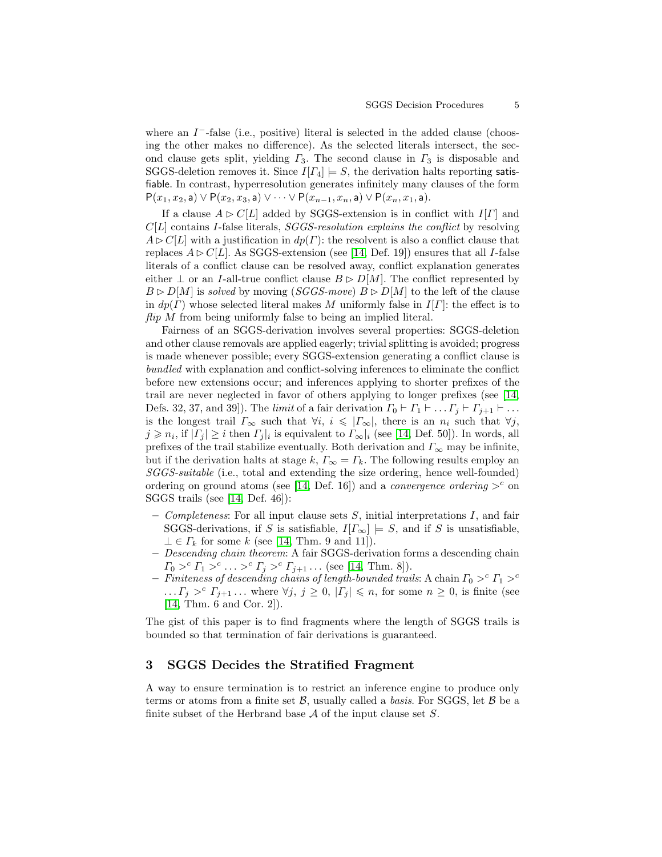where an  $I$ <sup>-</sup>-false (i.e., positive) literal is selected in the added clause (choosing the other makes no difference). As the selected literals intersect, the second clause gets split, yielding  $\Gamma_3$ . The second clause in  $\Gamma_3$  is disposable and SGGS-deletion removes it. Since  $I[T_4] \models S$ , the derivation halts reporting satisfiable. In contrast, hyperresolution generates infinitely many clauses of the form  $P(x_1, x_2, a) \vee P(x_2, x_3, a) \vee \cdots \vee P(x_{n-1}, x_n, a) \vee P(x_n, x_1, a).$ 

If a clause  $A \triangleright C[L]$  added by SGGS-extension is in conflict with  $I[I]$  and  $C[L]$  contains *I*-false literals, *SGGS-resolution explains the conflict* by resolving  $A \triangleright C[L]$  with a justification in  $dp(\Gamma)$ : the resolvent is also a conflict clause that replaces  $A \triangleright C[L]$ . As SGGS-extension (see [\[14,](#page-16-12) Def. 19]) ensures that all *I*-false literals of a conflict clause can be resolved away, conflict explanation generates either  $\perp$  or an *I*-all-true conflict clause  $B \triangleright D[M]$ . The conflict represented by  $B \triangleright D[M]$  is solved by moving (SGGS-move)  $B \triangleright D[M]$  to the left of the clause in  $dp(\Gamma)$  whose selected literal makes M uniformly false in  $I[\Gamma]$ : the effect is to  $f\rightarrow f\rightarrow f\rightarrow f$  from being uniformly false to being an implied literal.

Fairness of an SGGS-derivation involves several properties: SGGS-deletion and other clause removals are applied eagerly; trivial splitting is avoided; progress is made whenever possible; every SGGS-extension generating a conflict clause is bundled with explanation and conflict-solving inferences to eliminate the conflict before new extensions occur; and inferences applying to shorter prefixes of the trail are never neglected in favor of others applying to longer prefixes (see [\[14,](#page-16-12) Defs. 32, 37, and 39]). The limit of a fair derivation  $\Gamma_0 \vdash \Gamma_1 \vdash \ldots \Gamma_j \vdash \Gamma_{j+1} \vdash \ldots$ is the longest trail  $\Gamma_{\infty}$  such that  $\forall i, i \leqslant |\Gamma_{\infty}|$ , there is an  $n_i$  such that  $\forall j$ ,  $j \geqslant n_i$ , if  $|\Gamma_j| \geq i$  then  $\Gamma_j|_i$  is equivalent to  $\Gamma_{\infty}|_i$  (see [\[14,](#page-16-12) Def. 50]). In words, all prefixes of the trail stabilize eventually. Both derivation and  $\Gamma_{\infty}$  may be infinite, but if the derivation halts at stage k,  $\Gamma_{\infty} = \Gamma_k$ . The following results employ an SGGS-suitable (i.e., total and extending the size ordering, hence well-founded) ordering on ground atoms (see [\[14,](#page-16-12) Def. 16]) and a *convergence ordering*  $>^c$  on SGGS trails (see [\[14,](#page-16-12) Def. 46]):

- *Completeness*: For all input clause sets  $S$ , initial interpretations  $I$ , and fair SGGS-derivations, if S is satisfiable,  $I[T_\infty] \models S$ , and if S is unsatisfiable,  $\perp \in \Gamma_k$  for some k (see [\[14,](#page-16-12) Thm. 9 and 11]).
- Descending chain theorem: A fair SGGS-derivation forms a descending chain  $\Gamma_0 >^c \Gamma_1 >^c \ldots >^c \Gamma_j >^c \Gamma_{j+1} \ldots$  (see [\[14,](#page-16-12) Thm. 8]).
- Finiteness of descending chains of length-bounded trails: A chain  $\Gamma_0 > c \Gamma_1 > c$  $\ldots \Gamma_j$  >  $\Gamma_{j+1} \ldots$  where  $\forall j, j \geq 0, |\Gamma_j| \leq n$ , for some  $n \geq 0$ , is finite (see [\[14,](#page-16-12) Thm. 6 and Cor. 2]).

The gist of this paper is to find fragments where the length of SGGS trails is bounded so that termination of fair derivations is guaranteed.

### <span id="page-4-0"></span>3 SGGS Decides the Stratified Fragment

A way to ensure termination is to restrict an inference engine to produce only terms or atoms from a finite set  $\mathcal{B}$ , usually called a *basis*. For SGGS, let  $\mathcal{B}$  be a finite subset of the Herbrand base  $A$  of the input clause set  $S$ .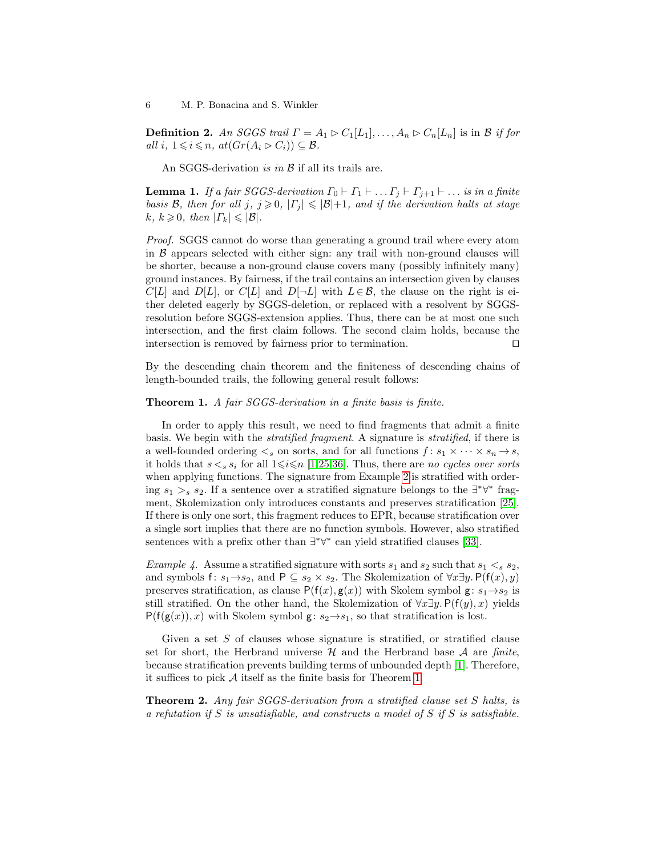**Definition 2.** An SGGS trail  $\Gamma = A_1 \triangleright C_1[L_1], \ldots, A_n \triangleright C_n[L_n]$  is in B if for all i,  $1 \leq i \leq n$ ,  $at(Gr(A_i \rhd C_i)) \subseteq \mathcal{B}$ .

An SGGS-derivation is in  $\beta$  if all its trails are.

**Lemma 1.** If a fair SGGS-derivation  $\Gamma_0 \vdash \Gamma_1 \vdash \ldots \Gamma_j \vdash \Gamma_{j+1} \vdash \ldots$  is in a finite basis B, then for all j,  $j \geqslant 0$ ,  $|\Gamma_j| \leqslant |\mathcal{B}|+1$ , and if the derivation halts at stage k,  $k \geqslant 0$ , then  $|\Gamma_k| \leqslant |\mathcal{B}|$ .

Proof. SGGS cannot do worse than generating a ground trail where every atom in  $\beta$  appears selected with either sign: any trail with non-ground clauses will be shorter, because a non-ground clause covers many (possibly infinitely many) ground instances. By fairness, if the trail contains an intersection given by clauses  $C[L]$  and  $D[L]$ , or  $C[L]$  and  $D[\neg L]$  with  $L \in \mathcal{B}$ , the clause on the right is either deleted eagerly by SGGS-deletion, or replaced with a resolvent by SGGSresolution before SGGS-extension applies. Thus, there can be at most one such intersection, and the first claim follows. The second claim holds, because the intersection is removed by fairness prior to termination.  $\Box$ 

By the descending chain theorem and the finiteness of descending chains of length-bounded trails, the following general result follows:

#### <span id="page-5-0"></span>Theorem 1. A fair SGGS-derivation in a finite basis is finite.

In order to apply this result, we need to find fragments that admit a finite basis. We begin with the stratified fragment. A signature is stratified, if there is a well-founded ordering  $\lt_s$  on sorts, and for all functions  $f: s_1 \times \cdots \times s_n \to s$ , it holds that  $s \leq s_i$  for all  $1 \leq i \leq n$  [\[1,](#page-16-10)[25,](#page-17-8)[36\]](#page-17-9). Thus, there are no cycles over sorts when applying functions. The signature from Example [2](#page-2-0) is stratified with ordering  $s_1 >_s s_2$ . If a sentence over a stratified signature belongs to the ∃\* $\forall^*$  fragment, Skolemization only introduces constants and preserves stratification [\[25\]](#page-17-8). If there is only one sort, this fragment reduces to EPR, because stratification over a single sort implies that there are no function symbols. However, also stratified sentences with a prefix other than  $\exists^* \forall^*$  can yield stratified clauses [\[33\]](#page-17-13).

<span id="page-5-1"></span>*Example 4.* Assume a stratified signature with sorts  $s_1$  and  $s_2$  such that  $s_1 < s_2$ , and symbols f:  $s_1 \rightarrow s_2$ , and  $P \subseteq s_2 \times s_2$ . The Skolemization of  $\forall x \exists y$ .  $P(f(x), y)$ preserves stratification, as clause  $P(f(x), g(x))$  with Skolem symbol g:  $s_1 \rightarrow s_2$  is still stratified. On the other hand, the Skolemization of  $\forall x \exists y$ . P(f(y), x) yields  $P(f(g(x)), x)$  with Skolem symbol  $g: s_2 \rightarrow s_1$ , so that stratification is lost.

Given a set S of clauses whose signature is stratified, or stratified clause set for short, the Herbrand universe  $H$  and the Herbrand base  $A$  are finite, because stratification prevents building terms of unbounded depth [\[1\]](#page-16-10). Therefore, it suffices to pick A itself as the finite basis for Theorem [1.](#page-5-0)

Theorem 2. Any fair SGGS-derivation from a stratified clause set S halts, is a refutation if S is unsatisfiable, and constructs a model of S if S is satisfiable.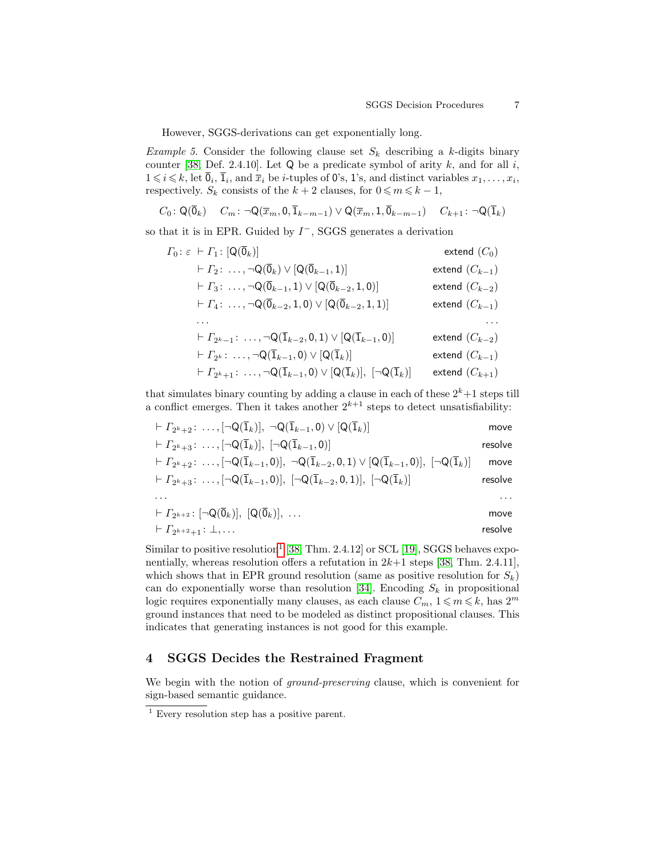However, SGGS-derivations can get exponentially long.

<span id="page-6-2"></span>Example 5. Consider the following clause set  $S_k$  describing a k-digits binary counter [\[38,](#page-17-14) Def. 2.4.10]. Let  $Q$  be a predicate symbol of arity k, and for all i,  $1 \leq i \leq k$ , let  $\overline{0}_i$ ,  $\overline{1}_i$ , and  $\overline{x}_i$  be *i*-tuples of 0's, 1's, and distinct variables  $x_1, \ldots, x_i$ , respectively.  $S_k$  consists of the  $k + 2$  clauses, for  $0 \le m \le k - 1$ ,

$$
C_0 \colon \mathsf{Q}(\overline{0}_k) \quad C_m \colon \neg \mathsf{Q}(\overline{x}_m, 0, \overline{1}_{k-m-1}) \vee \mathsf{Q}(\overline{x}_m, 1, \overline{0}_{k-m-1}) \quad C_{k+1} \colon \neg \mathsf{Q}(\overline{1}_k)
$$

so that it is in EPR. Guided by  $I^-$ , SGGS generates a derivation

| $\Gamma_0$ : $\varepsilon$ $\vdash \Gamma_1$ : $[Q(\overline{0}_k)]$                                                | extend $(C_0)$     |
|---------------------------------------------------------------------------------------------------------------------|--------------------|
| $\vdash \Gamma_2: \ldots, \neg Q(\overline{0}_k) \vee [Q(\overline{0}_{k-1}, 1)]$                                   | extend $(C_{k-1})$ |
| $\vdash \varGamma_3: \ldots, \neg \mathsf{Q}(\overline{0}_{k-1},1) \vee [\mathsf{Q}(\overline{0}_{k-2},1,0)]$       | extend $(C_{k-2})$ |
| $\vdash \Gamma_4: \ldots, \neg Q(\overline{0}_{k-2},1,0) \vee [Q(\overline{0}_{k-2},1,1)]$                          | extend $(C_{k-1})$ |
|                                                                                                                     |                    |
| $\vdash \Gamma_{2^k-1}: \ldots, \neg Q(\overline{1}_{k-2}, 0, 1) \vee [Q(\overline{1}_{k-1}, 0)]$                   | extend $(C_{k-2})$ |
| $\vdash \varGamma_{2^k} : \ldots, \neg Q(\overline{1}_{k-1}, 0) \vee [Q(\overline{1}_k)]$                           | extend $(C_{k-1})$ |
| $\vdash \varGamma_{2^k+1}: \ldots, \neg Q(\overline{1}_{k-1},0) \vee [Q(\overline{1}_k)], [\neg Q(\overline{1}_k)]$ | extend $(C_{k+1})$ |
|                                                                                                                     |                    |

that simulates binary counting by adding a clause in each of these  $2^k+1$  steps till a conflict emerges. Then it takes another  $2^{k+1}$  steps to detect unsatisfiability:

$$
F I_{2^{k}+2}: \ldots, [\neg Q(\bar{1}_{k})], \neg Q(\bar{1}_{k-1}, 0) \lor [Q(\bar{1}_{k})]
$$
 move  
\n
$$
F I_{2^{k}+3}: \ldots, [\neg Q(\bar{1}_{k})], [\neg Q(\bar{1}_{k-1}, 0)]
$$
 move resolve  
\n
$$
F I_{2^{k}+2}: \ldots, [\neg Q(\bar{1}_{k-1}, 0)], \neg Q(\bar{1}_{k-2}, 0, 1) \lor [Q(\bar{1}_{k-1}, 0)], [\neg Q(\bar{1}_{k})]
$$
 move  
\n
$$
F I_{2^{k}+3}: \ldots, [\neg Q(\bar{1}_{k-1}, 0)], [\neg Q(\bar{1}_{k-2}, 0, 1)], [\neg Q(\bar{1}_{k})]
$$
 resolve  
\n
$$
\ldots
$$
  
\n
$$
F I_{2^{k+2}}: [\neg Q(\bar{0}_{k})], [Q(\bar{0}_{k})], \ldots
$$
 move  
\n
$$
F I_{2^{k+2}+1}: \bot, \ldots
$$
 resolve  
\n
$$
F I_{2^{k+2}+1}: \bot, \ldots
$$

Similar to positive resolution<sup>[1](#page-6-1)</sup> [\[38,](#page-17-14) Thm. 2.4.12] or SCL [\[19\]](#page-16-4), SGGS behaves exponentially, whereas resolution offers a refutation in  $2k+1$  steps [\[38,](#page-17-14) Thm. 2.4.11], which shows that in EPR ground resolution (same as positive resolution for  $S_k$ ) can do exponentially worse than resolution [\[34\]](#page-17-15). Encoding  $S_k$  in propositional logic requires exponentially many clauses, as each clause  $C_m$ ,  $1 \leq m \leq k$ , has  $2^m$ ground instances that need to be modeled as distinct propositional clauses. This indicates that generating instances is not good for this example.

# <span id="page-6-0"></span>4 SGGS Decides the Restrained Fragment

We begin with the notion of *ground-preserving* clause, which is convenient for sign-based semantic guidance.

<span id="page-6-1"></span> $\frac{1}{1}$  Every resolution step has a positive parent.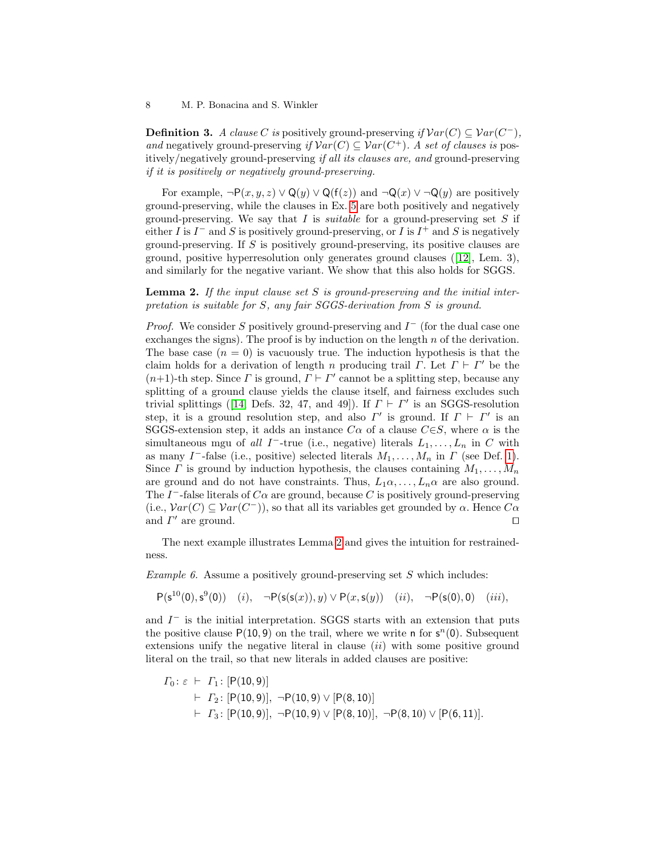**Definition 3.** A clause C is positively ground-preserving if  $Var(C) \subseteq Var(C^{-})$ , and negatively ground-preserving if  $Var(C) \subseteq Var(C^+)$ . A set of clauses is positively/negatively ground-preserving if all its clauses are, and ground-preserving if it is positively or negatively ground-preserving.

For example,  $\neg P(x, y, z) \vee Q(y) \vee Q(f(z))$  and  $\neg Q(x) \vee \neg Q(y)$  are positively ground-preserving, while the clauses in Ex. [5](#page-6-2) are both positively and negatively ground-preserving. We say that  $I$  is *suitable* for a ground-preserving set  $S$  if either I is  $I^-$  and S is positively ground-preserving, or I is  $I^+$  and S is negatively ground-preserving. If S is positively ground-preserving, its positive clauses are ground, positive hyperresolution only generates ground clauses ([\[12\]](#page-16-13), Lem. 3), and similarly for the negative variant. We show that this also holds for SGGS.

<span id="page-7-0"></span>**Lemma 2.** If the input clause set  $S$  is ground-preserving and the initial interpretation is suitable for S, any fair SGGS-derivation from S is ground.

*Proof.* We consider S positively ground-preserving and  $I^-$  (for the dual case one exchanges the signs). The proof is by induction on the length  $n$  of the derivation. The base case  $(n = 0)$  is vacuously true. The induction hypothesis is that the claim holds for a derivation of length n producing trail  $\Gamma$ . Let  $\Gamma \vdash \Gamma'$  be the  $(n+1)$ -th step. Since  $\Gamma$  is ground,  $\Gamma \vdash \Gamma'$  cannot be a splitting step, because any splitting of a ground clause yields the clause itself, and fairness excludes such trivial splittings ([\[14,](#page-16-12) Defs. 32, 47, and 49]). If  $\Gamma \vdash \Gamma'$  is an SGGS-resolution step, it is a ground resolution step, and also  $\Gamma'$  is ground. If  $\Gamma \vdash \Gamma'$  is an SGGS-extension step, it adds an instance  $C\alpha$  of a clause  $C\epsilon S$ , where  $\alpha$  is the simultaneous mgu of all I<sup>-</sup>-true (i.e., negative) literals  $L_1, \ldots, L_n$  in C with as many I<sup>-</sup>-false (i.e., positive) selected literals  $M_1, \ldots, M_n$  in  $\Gamma$  (see Def. [1\)](#page-3-0). Since  $\Gamma$  is ground by induction hypothesis, the clauses containing  $M_1, \ldots, M_n$ are ground and do not have constraints. Thus,  $L_1 \alpha, \ldots, L_n \alpha$  are also ground. The  $I^-$ -false literals of  $C\alpha$  are ground, because C is positively ground-preserving (i.e.,  $Var(C) \subseteq Var(C^{-})$ ), so that all its variables get grounded by  $\alpha$ . Hence  $C\alpha$ and  $\Gamma'$  are ground.

<span id="page-7-1"></span>The next example illustrates Lemma [2](#page-7-0) and gives the intuition for restrainedness.

Example 6. Assume a positively ground-preserving set S which includes:

$$
\mathsf{P}(\mathsf{s}^{10}(0), \mathsf{s}^9(0)) \quad (i), \quad \neg \mathsf{P}(\mathsf{s}(\mathsf{s}(x)), y) \vee \mathsf{P}(x, \mathsf{s}(y)) \quad (ii), \quad \neg \mathsf{P}(\mathsf{s}(0), 0) \quad (iii),
$$

and  $I^-$  is the initial interpretation. SGGS starts with an extension that puts the positive clause  $P(10, 9)$  on the trail, where we write n for  $s<sup>n</sup>(0)$ . Subsequent extensions unify the negative literal in clause  $(ii)$  with some positive ground literal on the trail, so that new literals in added clauses are positive:

$$
T_0: \varepsilon \vdash T_1: [P(10,9)]
$$
  
 
$$
\vdash T_2: [P(10,9)], \neg P(10,9) \lor [P(8,10)]
$$
  
 
$$
\vdash T_3: [P(10,9)], \neg P(10,9) \lor [P(8,10)], \neg P(8,10) \lor [P(6,11)].
$$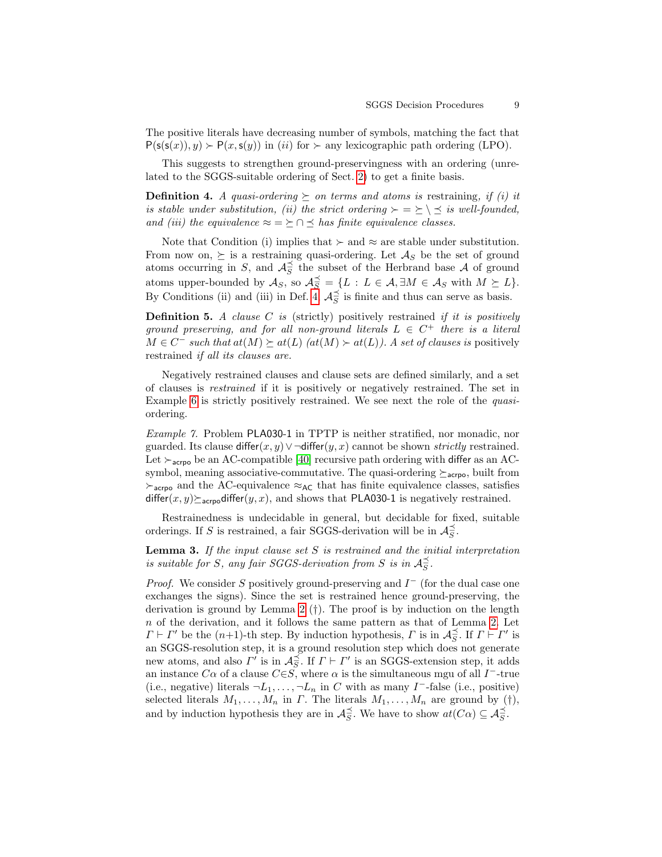The positive literals have decreasing number of symbols, matching the fact that  $P(s(s(x)), y) \succ P(x, s(y))$  in (*ii*) for  $\succ$  any lexicographic path ordering (LPO).

This suggests to strengthen ground-preservingness with an ordering (unrelated to the SGGS-suitable ordering of Sect. [2\)](#page-1-0) to get a finite basis.

<span id="page-8-0"></span>**Definition 4.** A quasi-ordering  $\succeq$  on terms and atoms is restraining, if (i) it is stable under substitution, (ii) the strict ordering  $\succ = \succeq \setminus \preceq$  is well-founded, and (iii) the equivalence  $\approx$  =  $\succeq$   $\cap$   $\preceq$  has finite equivalence classes.

Note that Condition (i) implies that  $\succ$  and  $\approx$  are stable under substitution. From now on,  $\succeq$  is a restraining quasi-ordering. Let  $\mathcal{A}_S$  be the set of ground atoms occurring in S, and  $\mathcal{A}_{S}^{\preceq}$  the subset of the Herbrand base A of ground atoms upper-bounded by  $\mathcal{A}_S$ , so  $\mathcal{A}_S^{\preceq} = \{L : L \in \mathcal{A}, \exists M \in \mathcal{A}_S \text{ with } M \succeq L\}.$ By Conditions (ii) and (iii) in Def. [4,](#page-8-0)  $\mathcal{A}_{S}^{\preceq}$  is finite and thus can serve as basis.

<span id="page-8-2"></span>**Definition 5.** A clause C is (strictly) positively restrained if it is positively ground preserving, and for all non-ground literals  $L \in C^+$  there is a literal  $M \in C^-$  such that  $at(M) \succeq at(L)$   $(at(M) \succ at(L))$ . A set of clauses is positively restrained if all its clauses are.

Negatively restrained clauses and clause sets are defined similarly, and a set of clauses is restrained if it is positively or negatively restrained. The set in Example [6](#page-7-1) is strictly positively restrained. We see next the role of the quasiordering.

<span id="page-8-3"></span>Example 7. Problem PLA030-1 in TPTP is neither stratified, nor monadic, nor guarded. Its clause differ $(x, y) \lor \neg$ differ $(y, x)$  cannot be shown *strictly* restrained. Let  $\succ_{\text{acrop}}$  be an AC-compatible [\[40\]](#page-17-16) recursive path ordering with differ as an ACsymbol, meaning associative-commutative. The quasi-ordering  $\succeq_{\mathsf{acropo}}$ , built from  $\succ_{\text{acropo}}$  and the AC-equivalence  $\approx_{AC}$  that has finite equivalence classes, satisfies differ(x, y) $\succeq_{\text{acrop}}$ differ(y, x), and shows that PLA030-1 is negatively restrained.

Restrainedness is undecidable in general, but decidable for fixed, suitable orderings. If S is restrained, a fair SGGS-derivation will be in  $\mathcal{A}_{S}^{\preceq}$ .

<span id="page-8-1"></span>**Lemma 3.** If the input clause set  $S$  is restrained and the initial interpretation is suitable for S, any fair SGGS-derivation from S is in  $\mathcal{A}_{S}^{\preceq}$ .

*Proof.* We consider S positively ground-preserving and  $I^-$  (for the dual case one exchanges the signs). Since the set is restrained hence ground-preserving, the derivation is ground by Lemma [2](#page-7-0) (†). The proof is by induction on the length n of the derivation, and it follows the same pattern as that of Lemma [2.](#page-7-0) Let  $\Gamma \vdash \Gamma'$  be the  $(n+1)$ -th step. By induction hypothesis,  $\Gamma$  is in  $\mathcal{A}_{S}^{\preceq}$ . If  $\Gamma \vdash \Gamma'$  is an SGGS-resolution step, it is a ground resolution step which does not generate new atoms, and also  $\Gamma'$  is in  $\mathcal{A}_{S}^{\leq}$ . If  $\Gamma \vdash \Gamma'$  is an SGGS-extension step, it adds an instance  $C\alpha$  of a clause  $C\epsilon S$ , where  $\alpha$  is the simultaneous mgu of all I<sup>-</sup>-true (i.e., negative) literals  $\neg L_1, \ldots, \neg L_n$  in C with as many I<sup>-</sup>-false (i.e., positive) selected literals  $M_1, \ldots, M_n$  in  $\Gamma$ . The literals  $M_1, \ldots, M_n$  are ground by (†), and by induction hypothesis they are in  $\mathcal{A}_{S}^{\preceq}$ . We have to show  $at(C\alpha) \subseteq \mathcal{A}_{S}^{\preceq}$ .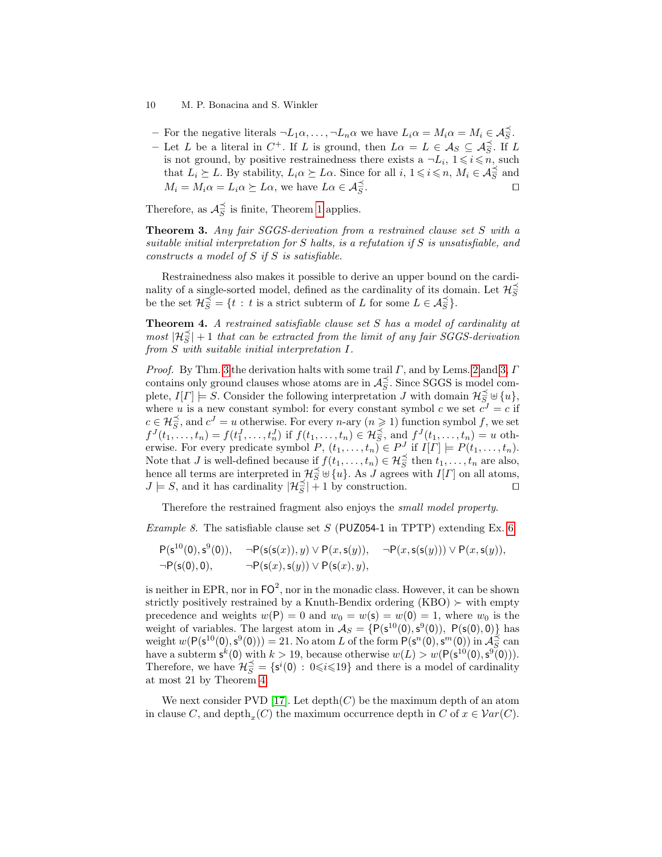- For the negative literals  $\neg L_1 \alpha, \dots, \neg L_n \alpha$  we have  $L_i \alpha = M_i \alpha = M_i \in \mathcal{A}_{\overline{S}}^{\preceq}$ .
- Let L be a literal in  $C^+$ . If L is ground, then  $L\alpha = L \in \mathcal{A}_S \subseteq \mathcal{A}_S^{\preceq}$ . If L is not ground, by positive restrainedness there exists a  $\neg L_i$ ,  $1 \leq i \leq n$ , such that  $L_i \succeq L$ . By stability,  $L_i \alpha \succeq L\alpha$ . Since for all  $i, 1 \leq i \leq n$ ,  $M_i \in \mathcal{A}_{S}^{\preceq}$  and  $M_i = M_i \alpha = L_i \alpha \succeq L \alpha$ , we have  $L \alpha \in \mathcal{A}_{S}^{\preceq}$ . The contract of  $\Box$

Therefore, as  $\mathcal{A}_{S}^{\preceq}$  is finite, Theorem [1](#page-5-0) applies.

<span id="page-9-0"></span>Theorem 3. Any fair SGGS-derivation from a restrained clause set S with a suitable initial interpretation for S halts, is a refutation if S is unsatisfiable, and constructs a model of  $S$  if  $S$  is satisfiable.

Restrainedness also makes it possible to derive an upper bound on the cardinality of a single-sorted model, defined as the cardinality of its domain. Let  $\mathcal{H}_{S}^{\preceq}$ be the set  $\mathcal{H}_{S}^{\preceq} = \{t : t \text{ is a strict subterm of } L \text{ for some } L \in \mathcal{A}_{S}^{\preceq} \}.$ 

<span id="page-9-1"></span>Theorem 4. A restrained satisfiable clause set S has a model of cardinality at most  $|\mathcal{H}_{S}^{\preceq}|+1$  that can be extracted from the limit of any fair SGGS-derivation from S with suitable initial interpretation I.

*Proof.* By Thm. [3](#page-9-0) the derivation halts with some trail  $\Gamma$ , and by Lems. [2](#page-7-0) and [3,](#page-8-1)  $\Gamma$ contains only ground clauses whose atoms are in  $\mathcal{A}_{S}^{\preceq}$ . Since SGGS is model complete,  $I[I] \models S$ . Consider the following interpretation J with domain  $\mathcal{H}_{S}^{\preceq} \uplus \{u\},$ where u is a new constant symbol: for every constant symbol c we set  $c^J = c$  if  $c \in \mathcal{H}_{S}^{\preceq}$ , and  $c^{J} = u$  otherwise. For every *n*-ary  $(n \geq 1)$  function symbol f, we set  $f^{J}(t_1, \ldots, t_n) = f(t_1^{J}, \ldots, t_n^{J})$  if  $f(t_1, \ldots, t_n) \in \mathcal{H}_{S}^{\preceq}$ , and  $f^{J}(t_1, \ldots, t_n) = u$  otherwise. For every predicate symbol  $P, (t_1, \ldots, t_n) \in P^J$  if  $I[\Gamma] \models P(t_1, \ldots, t_n)$ . Note that J is well-defined because if  $f(t_1, \ldots, t_n) \in \mathcal{H}_{S}^{\preceq}$  then  $t_1, \ldots, t_n$  are also, hence all terms are interpreted in  $\mathcal{H}_{S}^{\preceq}\uplus\{u\}$ . As  $J$  agrees with  $I[I]$  on all atoms,  $J \models S$ , and it has cardinality  $|\mathcal{H}_{S}^{\preceq}| + 1$  by construction.

Therefore the restrained fragment also enjoys the small model property.

<span id="page-9-2"></span>*Example 8.* The satisfiable clause set S (PUZ054-1 in TPTP) extending Ex. [6:](#page-7-1)

$$
P(s^{10}(0), s^{9}(0)), \quad \neg P(s(s(x)), y) \lor P(x, s(y)), \quad \neg P(x, s(s(y))) \lor P(x, s(y)),
$$
  

$$
\neg P(s(0), 0), \quad \neg P(s(x), s(y)) \lor P(s(x), y),
$$

is neither in EPR, nor in  $\textsf{FO}^2$ , nor in the monadic class. However, it can be shown strictly positively restrained by a Knuth-Bendix ordering (KBO)  $\succ$  with empty precedence and weights  $w(P) = 0$  and  $w_0 = w(s) = w(0) = 1$ , where  $w_0$  is the weight of variables. The largest atom in  $\mathcal{A}_S = \{P(s^{10}(0), s^9(0)), P(s(0), 0)\}\)$  has weight  $w(P(s^{10}(0), s^{9}(0))) = 21$ . No atom L of the form  $P(s^{n}(0), s^{m}(0))$  in  $\mathcal{A}_{\overline{S}}^{\preceq}$  can have a subterm  $s^k(0)$  with  $k > 19$ , because otherwise  $w(L) > w(P(s^{10}(0), s^9(0)))$ . Therefore, we have  $\mathcal{H}_{S}^{\preceq} = \{s^{i}(0) : 0 \leq i \leq 19\}$  and there is a model of cardinality at most 21 by Theorem [4.](#page-9-1)

We next consider PVD [\[17\]](#page-16-7). Let  $\text{depth}(C)$  be the maximum depth of an atom in clause C, and depth<sub>x</sub>(C) the maximum occurrence depth in C of  $x \in Var(C)$ .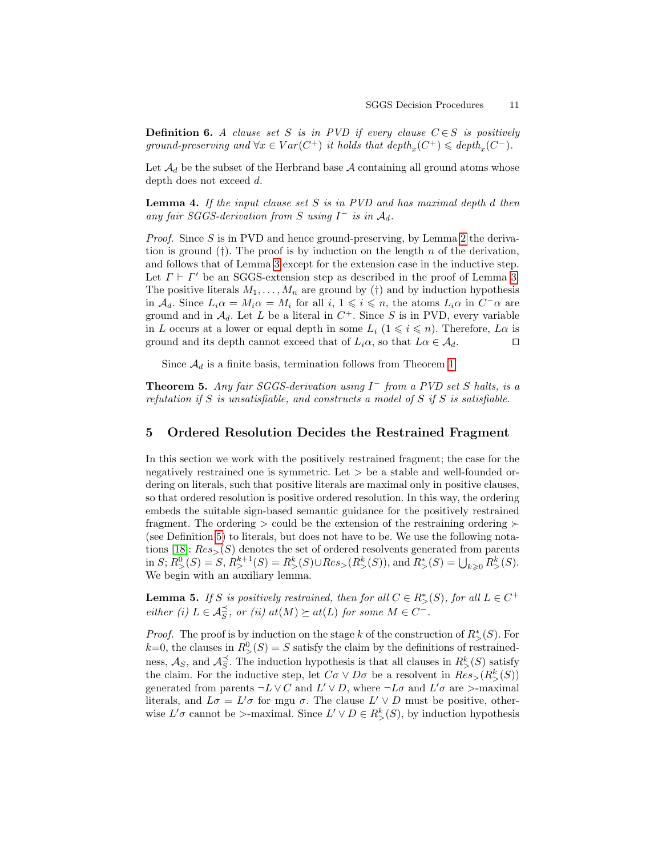**Definition 6.** A clause set S is in PVD if every clause  $C \in S$  is positively ground-preserving and  $\forall x \in Var(C^+)$  it holds that  $depth_x(C^+) \leqslant depth_x(C^-)$ .

Let  $\mathcal{A}_d$  be the subset of the Herbrand base  $\mathcal A$  containing all ground atoms whose depth does not exceed d.

**Lemma 4.** If the input clause set S is in PVD and has maximal depth  $d$  then any fair SGGS-derivation from S using  $I^-$  is in  $\mathcal{A}_d$ .

*Proof.* Since  $S$  is in PVD and hence ground-preserving, by Lemma [2](#page-7-0) the derivation is ground (†). The proof is by induction on the length n of the derivation, and follows that of Lemma [3](#page-8-1) except for the extension case in the inductive step. Let  $\Gamma \vdash \Gamma'$  be an SGGS-extension step as described in the proof of Lemma [3.](#page-8-1) The positive literals  $M_1, \ldots, M_n$  are ground by (†) and by induction hypothesis in  $\mathcal{A}_d$ . Since  $L_i \alpha = M_i \alpha = M_i$  for all  $i, 1 \leqslant i \leqslant n$ , the atoms  $L_i \alpha$  in  $C^- \alpha$  are ground and in  $A_d$ . Let L be a literal in  $C^+$ . Since S is in PVD, every variable in L occurs at a lower or equal depth in some  $L_i$   $(1 \leq i \leq n)$ . Therefore,  $L\alpha$  is ground and its depth cannot exceed that of  $L_i \alpha$ , so that  $L \alpha \in \mathcal{A}_d$ .

Since  $A_d$  is a finite basis, termination follows from Theorem [1.](#page-5-0)

**Theorem 5.** Any fair SGGS-derivation using  $I^-$  from a PVD set S halts, is a refutation if S is unsatisfiable, and constructs a model of S if S is satisfiable.

## <span id="page-10-0"></span>5 Ordered Resolution Decides the Restrained Fragment

In this section we work with the positively restrained fragment; the case for the negatively restrained one is symmetric. Let > be a stable and well-founded ordering on literals, such that positive literals are maximal only in positive clauses, so that ordered resolution is positive ordered resolution. In this way, the ordering embeds the suitable sign-based semantic guidance for the positively restrained fragment. The ordering  $>$  could be the extension of the restraining ordering  $\succ$ (see Definition [5\)](#page-8-2) to literals, but does not have to be. We use the following nota-tions [\[18\]](#page-16-0):  $Res_{>}(S)$  denotes the set of ordered resolvents generated from parents in S;  $R_{>}^{0}(S) = S, R_{>}^{k+1}(S) = R_{>}^{k}(S) \cup Res_{>}(R_{>}^{k}(S))$ , and  $R_{>}^{*}(S) = \bigcup_{k \geq 0} R_{>}^{k}(S)$ . We begin with an auxiliary lemma.

<span id="page-10-1"></span>**Lemma 5.** If S is positively restrained, then for all  $C \in R_{>}^{*}(S)$ , for all  $L \in C^{+}$ either (i)  $L \in \mathcal{A}_{S}^{\preceq}$ , or (ii)  $at(M) \succeq at(L)$  for some  $M \in C^{-}$ .

*Proof.* The proof is by induction on the stage k of the construction of  $R^*_{\geq}(S)$ . For  $k=0$ , the clauses in  $R_{>}^0(S) = S$  satisfy the claim by the definitions of restrainedness,  $\mathcal{A}_S$ , and  $\mathcal{A}_S^{\preceq}$ . The induction hypothesis is that all clauses in  $R_{\gt}^k(S)$  satisfy the claim. For the inductive step, let  $C\sigma \vee D\sigma$  be a resolvent in  $Res_{>}(R_{>}^{k}(S))$ generated from parents  $\neg L \lor C$  and  $L' \lor D$ , where  $\neg L\sigma$  and  $L'\sigma$  are  $\gt$ -maximal literals, and  $L\sigma = L'\sigma$  for mgu  $\sigma$ . The clause  $L' \vee D$  must be positive, otherwise  $L' \sigma$  cannot be >-maximal. Since  $L' \vee D \in R^k_{\geq}(S)$ , by induction hypothesis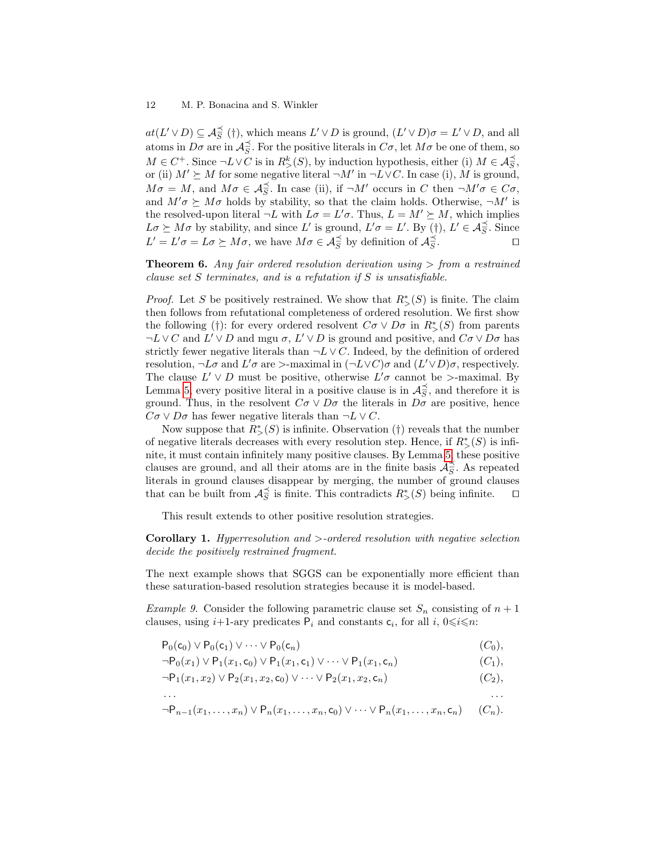$at(L' \vee D) \subseteq \mathcal{A}_{\overline{S}}^{\preceq}(\dagger)$ , which means  $L' \vee D$  is ground,  $(L' \vee D)\sigma = L' \vee D$ , and all atoms in  $D\sigma$  are in  $\mathcal{A}_{\overline{S}}^{\preceq}$ . For the positive literals in  $C\sigma$ , let  $M\sigma$  be one of them, so  $M \in C^+$ . Since  $\neg L \vee C$  is in  $R^k_{\gt}(S)$ , by induction hypothesis, either (i)  $M \in \mathcal{A}_{S}^{\preceq}$ , or (ii)  $M' \succeq M$  for some negative literal  $\neg M'$  in  $\neg L \vee C$ . In case (i), M is ground,  $M\sigma = M$ , and  $M\sigma \in \mathcal{A}_{S}^{\preceq}$ . In case (ii), if  $\neg M'$  occurs in C then  $\neg M'\sigma \in C\sigma$ , and  $M'\sigma \succeq M\sigma$  holds by stability, so that the claim holds. Otherwise,  $\neg M'$  is the resolved-upon literal  $\neg L$  with  $L\sigma = L'\sigma$ . Thus,  $L = M' \succeq M$ , which implies  $L\sigma \succeq M\sigma$  by stability, and since L' is ground,  $L'\sigma = L'$ . By (†),  $L' \in \mathcal{A}_{S}^{\preceq}$ . Since  $L' = L'\sigma = L\sigma \succeq M\sigma$ , we have  $M\sigma \in \mathcal{A}_{S}^{\preceq}$  by definition of  $\mathcal{A}_{S}^{\preceq}$ .

**Theorem 6.** Any fair ordered resolution derivation using  $>$  from a restrained clause set S terminates, and is a refutation if S is unsatisfiable.

*Proof.* Let S be positively restrained. We show that  $R^*_{\geq}(S)$  is finite. The claim then follows from refutational completeness of ordered resolution. We first show the following (†): for every ordered resolvent  $C\sigma \vee D\sigma$  in  $R^*_{\geq}(S)$  from parents  $\neg L \lor C$  and  $L' \lor D$  and mgu  $\sigma$ ,  $L' \lor D$  is ground and positive, and  $C\sigma \lor D\sigma$  has strictly fewer negative literals than  $\neg L \vee C$ . Indeed, by the definition of ordered resolution,  $\neg L\sigma$  and  $L'\sigma$  are >-maximal in  $(\neg L \vee C)\sigma$  and  $(L' \vee D)\sigma$ , respectively. The clause  $L' \vee D$  must be positive, otherwise  $L' \sigma$  cannot be >-maximal. By Lemma [5,](#page-10-1) every positive literal in a positive clause is in  $\mathcal{A}_{S}^{\preceq}$ , and therefore it is ground. Thus, in the resolvent  $C\sigma \vee D\sigma$  the literals in  $D\sigma$  are positive, hence  $C\sigma \vee D\sigma$  has fewer negative literals than  $\neg L \vee C$ .

Now suppose that  $R^*_{\geq}(S)$  is infinite. Observation (†) reveals that the number of negative literals decreases with every resolution step. Hence, if  $R^*_{\geq}(S)$  is infinite, it must contain infinitely many positive clauses. By Lemma [5,](#page-10-1) these positive clauses are ground, and all their atoms are in the finite basis  $\mathcal{A}_{\overline{S}}^{\preceq}$ . As repeated literals in ground clauses disappear by merging, the number of ground clauses that can be built from  $\mathcal{A}_{S}^{\preceq}$  is finite. This contradicts  $R_{\gt}^{*}(S)$  being infinite.  $\square$ 

This result extends to other positive resolution strategies.

Corollary 1. Hyperresolution and >-ordered resolution with negative selection decide the positively restrained fragment.

The next example shows that SGGS can be exponentially more efficient than these saturation-based resolution strategies because it is model-based.

*Example 9.* Consider the following parametric clause set  $S_n$  consisting of  $n + 1$ clauses, using  $i+1$ -ary predicates  $\overline{P}_i$  and constants  $c_i$ , for all  $i, 0 \leq i \leq n$ :

$$
P_0(c_0) \vee P_0(c_1) \vee \cdots \vee P_0(c_n) \qquad \qquad (C_0),
$$

$$
\neg P_0(x_1) \lor P_1(x_1, c_0) \lor P_1(x_1, c_1) \lor \cdots \lor P_1(x_1, c_n)
$$
\n(C\_1),

$$
\neg P_1(x_1, x_2) \lor P_2(x_1, x_2, c_0) \lor \dots \lor P_2(x_1, x_2, c_n)
$$
 (C<sub>2</sub>),

$$
0.01\leq i\leq n-1, \quad i\leq n-1, \quad i\leq n-1, \quad i\leq n-1, \quad i\leq n-1, \quad i\leq n-1
$$

$$
\neg P_{n-1}(x_1,\ldots,x_n)\vee P_n(x_1,\ldots,x_n,\mathsf{c}_0)\vee\cdots\vee P_n(x_1,\ldots,x_n,\mathsf{c}_n) \qquad (C_n).
$$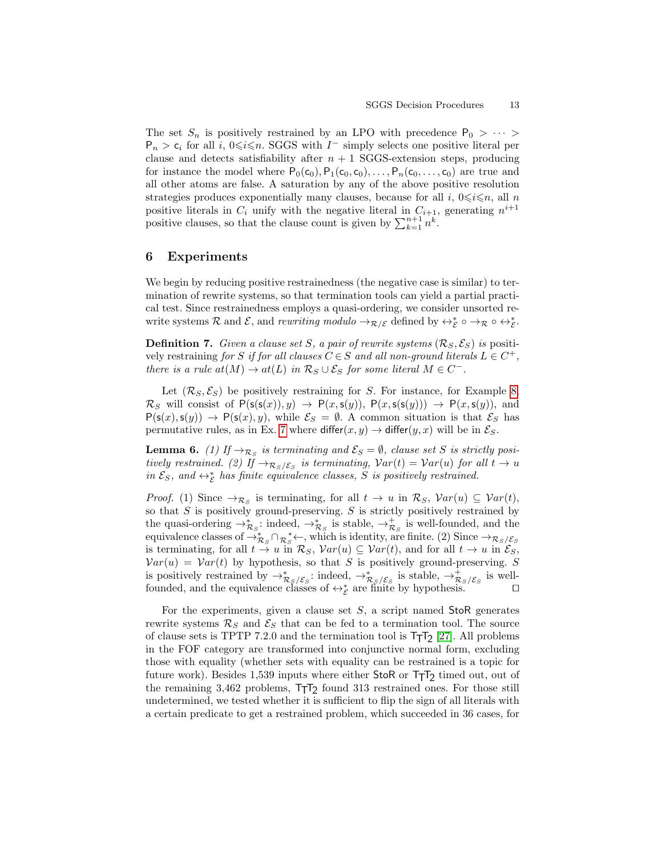The set  $S_n$  is positively restrained by an LPO with precedence  $P_0 > \cdots >$  $P_n > c_i$  for all i,  $0 \le i \le n$ . SGGS with  $I^-$  simply selects one positive literal per clause and detects satisfiability after  $n + 1$  SGGS-extension steps, producing for instance the model where  $P_0(c_0), P_1(c_0, c_0), \ldots, P_n(c_0, \ldots, c_0)$  are true and all other atoms are false. A saturation by any of the above positive resolution strategies produces exponentially many clauses, because for all i,  $0 \le i \le n$ , all n positive literals in  $C_i$  unify with the negative literal in  $C_{i+1}$ , generating  $n^{i+1}$ positive clauses, so that the clause count is given by  $\sum_{k=1}^{n+1} n^k$ .

### <span id="page-12-0"></span>6 Experiments

We begin by reducing positive restrainedness (the negative case is similar) to termination of rewrite systems, so that termination tools can yield a partial practical test. Since restrainedness employs a quasi-ordering, we consider unsorted rewrite systems R and E, and rewriting modulo  $\rightarrow_{\mathcal{R}/\mathcal{E}}$  defined by  $\leftrightarrow_{\mathcal{E}}^* \circ \rightarrow_{\mathcal{R}} \circ \leftrightarrow_{\mathcal{E}}^*$ .

<span id="page-12-1"></span>**Definition 7.** Given a clause set S, a pair of rewrite systems  $(\mathcal{R}_S, \mathcal{E}_S)$  is positively restraining for S if for all clauses  $C \in S$  and all non-ground literals  $L \in C^+$ , there is a rule  $at(M) \to at(L)$  in  $\mathcal{R}_S \cup \mathcal{E}_S$  for some literal  $M \in C^-$ .

Let  $(\mathcal{R}_S, \mathcal{E}_S)$  be positively restraining for S. For instance, for Example [8,](#page-9-2)  $\mathcal{R}_S$  will consist of  $P(s(s(x)), y) \rightarrow P(x, s(y)), P(x, s(s(y))) \rightarrow P(x, s(y)),$  and  $P(s(x), s(y)) \rightarrow P(s(x), y)$ , while  $\mathcal{E}_S = \emptyset$ . A common situation is that  $\mathcal{E}_S$  has permutative rules, as in Ex. [7](#page-8-3) where  $\text{differ}(x, y) \rightarrow \text{differ}(y, x)$  will be in  $\mathcal{E}_S$ .

**Lemma 6.** (1) If  $\rightarrow_{\mathcal{R}_S}$  is terminating and  $\mathcal{E}_S = \emptyset$ , clause set S is strictly positively restrained. (2) If  $\rightarrow_{\mathcal{R}_S/\mathcal{E}_S}$  is terminating,  $Var(t) = Var(u)$  for all  $t \rightarrow u$ in  $\mathcal{E}_S$ , and  $\leftrightarrow_{\mathcal{E}}^*$  has finite equivalence classes, S is positively restrained.

*Proof.* (1) Since  $\rightarrow_{\mathcal{R}_S}$  is terminating, for all  $t \rightarrow u$  in  $\mathcal{R}_S$ ,  $Var(u) \subseteq Var(t)$ , so that  $S$  is positively ground-preserving.  $S$  is strictly positively restrained by the quasi-ordering  $\to_{\mathcal{R}_S}^*$ : indeed,  $\to_{\mathcal{R}_S}^*$  is stable,  $\to_{\mathcal{R}_S}^+$  is well-founded, and the equivalence classes of  $\rightarrow_{\mathcal{R}_S}^* \cap_{\mathcal{R}_S^*} \leftarrow$ , which is identity, are finite. (2) Since  $\rightarrow_{\mathcal{R}_S/\mathcal{E}_S}$ is terminating, for all  $t \to u$  in  $\mathcal{R}_S$ ,  $Var(u) \subseteq Var(t)$ , and for all  $t \to u$  in  $\mathcal{E}_S$ ,  $Var(u) = Var(t)$  by hypothesis, so that S is positively ground-preserving. S is positively restrained by  $\to_{\mathcal{R}_S/\mathcal{E}_S}^*$ : indeed,  $\to_{\mathcal{R}_S/\mathcal{E}_S}^*$  is stable,  $\to_{\mathcal{R}_S/\mathcal{E}_S}^+$  is wellfounded, and the equivalence classes of  $\leftrightarrow_{\mathcal{E}}^*$  are finite by hypothesis.

For the experiments, given a clause set  $S$ , a script named StoR generates rewrite systems  $\mathcal{R}_S$  and  $\mathcal{E}_S$  that can be fed to a termination tool. The source of clause sets is TPTP 7.2.0 and the termination tool is  $T_{\overline{12}}$  [\[27\]](#page-17-17). All problems in the FOF category are transformed into conjunctive normal form, excluding those with equality (whether sets with equality can be restrained is a topic for future work). Besides 1,539 inputs where either  $StoR$  or  $T<sub>T</sub>T<sub>2</sub>$  timed out, out of the remaining  $3,462$  problems,  $T_{TT}$  found  $313$  restrained ones. For those still undetermined, we tested whether it is sufficient to flip the sign of all literals with a certain predicate to get a restrained problem, which succeeded in 36 cases, for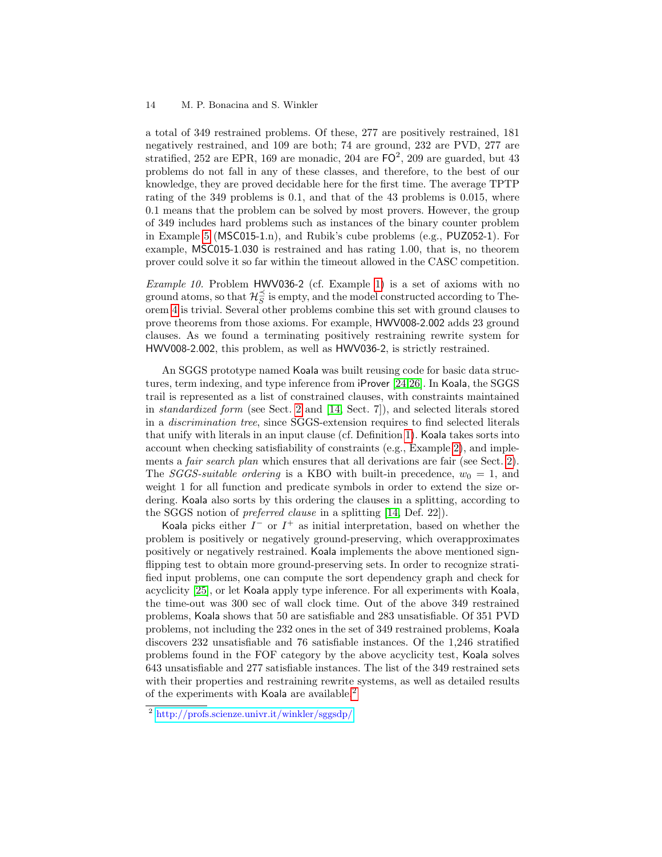a total of 349 restrained problems. Of these, 277 are positively restrained, 181 negatively restrained, and 109 are both; 74 are ground, 232 are PVD, 277 are stratified, 252 are EPR, 169 are monadic, 204 are  $\textsf{FO}^2$ , 209 are guarded, but 43 problems do not fall in any of these classes, and therefore, to the best of our knowledge, they are proved decidable here for the first time. The average TPTP rating of the 349 problems is 0.1, and that of the 43 problems is 0.015, where 0.1 means that the problem can be solved by most provers. However, the group of 349 includes hard problems such as instances of the binary counter problem in Example [5](#page-6-2) (MSC015-1.n), and Rubik's cube problems (e.g., PUZ052-1). For example, MSC015-1.030 is restrained and has rating 1.00, that is, no theorem prover could solve it so far within the timeout allowed in the CASC competition.

Example 10. Problem HWV036-2 (cf. Example [1\)](#page-0-0) is a set of axioms with no ground atoms, so that  $\mathcal{H}_{S}^{\preceq}$  is empty, and the model constructed according to Theorem [4](#page-9-1) is trivial. Several other problems combine this set with ground clauses to prove theorems from those axioms. For example, HWV008-2.002 adds 23 ground clauses. As we found a terminating positively restraining rewrite system for HWV008-2.002, this problem, as well as HWV036-2, is strictly restrained.

An SGGS prototype named Koala was built reusing code for basic data structures, term indexing, and type inference from iProver [\[24,](#page-17-11)[26\]](#page-17-12). In Koala, the SGGS trail is represented as a list of constrained clauses, with constraints maintained in standardized form (see Sect. [2](#page-1-0) and [\[14,](#page-16-12) Sect. 7]), and selected literals stored in a discrimination tree, since SGGS-extension requires to find selected literals that unify with literals in an input clause (cf. Definition [1\)](#page-3-0). Koala takes sorts into account when checking satisfiability of constraints (e.g., Example [2\)](#page-2-0), and implements a *fair search plan* which ensures that all derivations are fair (see Sect. [2\)](#page-1-0). The *SGGS-suitable ordering* is a KBO with built-in precedence,  $w_0 = 1$ , and weight 1 for all function and predicate symbols in order to extend the size ordering. Koala also sorts by this ordering the clauses in a splitting, according to the SGGS notion of preferred clause in a splitting [\[14,](#page-16-12) Def. 22]).

Koala picks either  $I^-$  or  $I^+$  as initial interpretation, based on whether the problem is positively or negatively ground-preserving, which overapproximates positively or negatively restrained. Koala implements the above mentioned signflipping test to obtain more ground-preserving sets. In order to recognize stratified input problems, one can compute the sort dependency graph and check for acyclicity [\[25\]](#page-17-8), or let Koala apply type inference. For all experiments with Koala, the time-out was 300 sec of wall clock time. Out of the above 349 restrained problems, Koala shows that 50 are satisfiable and 283 unsatisfiable. Of 351 PVD problems, not including the 232 ones in the set of 349 restrained problems, Koala discovers 232 unsatisfiable and 76 satisfiable instances. Of the 1,246 stratified problems found in the FOF category by the above acyclicity test, Koala solves 643 unsatisfiable and 277 satisfiable instances. The list of the 349 restrained sets with their properties and restraining rewrite systems, as well as detailed results of the experiments with Koala are available.<sup>[2](#page-13-0)</sup>

<span id="page-13-0"></span><sup>2</sup> <http://profs.scienze.univr.it/winkler/sggsdp/>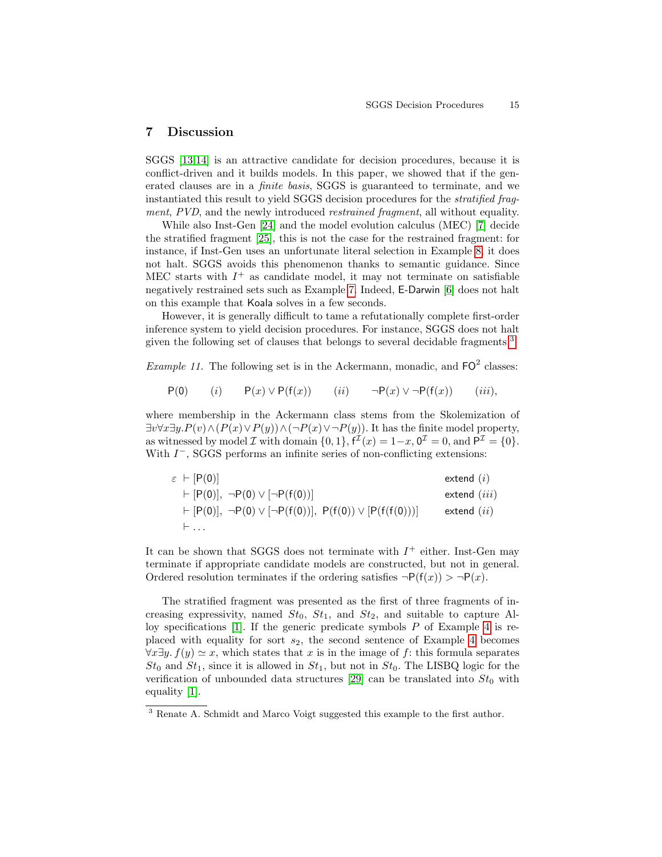# <span id="page-14-0"></span>7 Discussion

SGGS [\[13](#page-16-11)[,14\]](#page-16-12) is an attractive candidate for decision procedures, because it is conflict-driven and it builds models. In this paper, we showed that if the generated clauses are in a finite basis, SGGS is guaranteed to terminate, and we instantiated this result to yield SGGS decision procedures for the stratified fragment, PVD, and the newly introduced *restrained fragment*, all without equality.

While also Inst-Gen [\[24\]](#page-17-11) and the model evolution calculus (MEC) [\[7\]](#page-16-14) decide the stratified fragment [\[25\]](#page-17-8), this is not the case for the restrained fragment: for instance, if Inst-Gen uses an unfortunate literal selection in Example [8,](#page-9-2) it does not halt. SGGS avoids this phenomenon thanks to semantic guidance. Since MEC starts with  $I^+$  as candidate model, it may not terminate on satisfiable negatively restrained sets such as Example [7.](#page-8-3) Indeed, E-Darwin [\[6\]](#page-16-15) does not halt on this example that Koala solves in a few seconds.

However, it is generally difficult to tame a refutationally complete first-order inference system to yield decision procedures. For instance, SGGS does not halt given the following set of clauses that belongs to several decidable fragments.[3](#page-14-1)

<span id="page-14-2"></span>*Example 11.* The following set is in the Ackermann, monadic, and  $FO^2$  classes:

$$
\mathsf{P}(0) \qquad (i) \qquad \mathsf{P}(x) \vee \mathsf{P}(\mathsf{f}(x)) \qquad (ii) \qquad \neg \mathsf{P}(x) \vee \neg \mathsf{P}(\mathsf{f}(x)) \qquad (iii),
$$

where membership in the Ackermann class stems from the Skolemization of  $\exists v \forall x \exists y . P(v) \land (P(x) \lor P(y)) \land (\neg P(x) \lor \neg P(y))$ . It has the finite model property, as witnessed by model *I* with domain  $\{0, 1\}$ ,  $f^{I}(x) = 1-x$ ,  $0^{I} = 0$ , and  $P^{I} = \{0\}$ . With  $I^-$ , SGGS performs an infinite series of non-conflicting extensions:

| $\varepsilon$   $[P(0)]$                                                  | extend $(i)$   |
|---------------------------------------------------------------------------|----------------|
| $\vdash [P(0)], \neg P(0) \vee [\neg P(f(0))]$                            | extend $(iii)$ |
| $\vdash [P(0)], \neg P(0) \vee [\neg P(f(0))], P(f(0)) \vee [P(f(f(0)))]$ | extend $(ii)$  |
| $\vdash \ldots$                                                           |                |

It can be shown that SGGS does not terminate with  $I^+$  either. Inst-Gen may terminate if appropriate candidate models are constructed, but not in general. Ordered resolution terminates if the ordering satisfies  $\neg P(f(x)) > \neg P(x)$ .

The stratified fragment was presented as the first of three fragments of increasing expressivity, named  $St_0$ ,  $St_1$ , and  $St_2$ , and suitable to capture Alloy specifications  $[1]$ . If the generic predicate symbols  $P$  of Example [4](#page-5-1) is replaced with equality for sort  $s_2$ , the second sentence of Example [4](#page-5-1) becomes  $\forall x \exists y. f(y) \simeq x$ , which states that x is in the image of f: this formula separates  $St_0$  and  $St_1$ , since it is allowed in  $St_1$ , but not in  $St_0$ . The LISBQ logic for the verification of unbounded data structures [\[29\]](#page-17-18) can be translated into  $St_0$  with equality [\[1\]](#page-16-10).

<span id="page-14-1"></span><sup>&</sup>lt;sup>3</sup> Renate A. Schmidt and Marco Voigt suggested this example to the first author.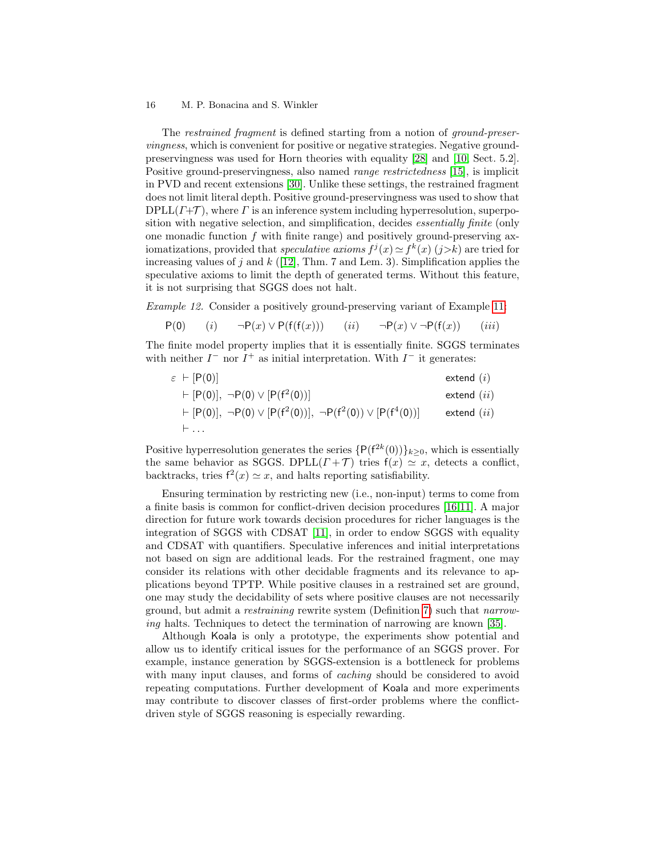The restrained fragment is defined starting from a notion of ground-preservingness, which is convenient for positive or negative strategies. Negative groundpreservingness was used for Horn theories with equality [\[28\]](#page-17-19) and [\[10,](#page-16-16) Sect. 5.2]. Positive ground-preservingness, also named range restrictedness [\[15\]](#page-16-1), is implicit in PVD and recent extensions [\[30\]](#page-17-20). Unlike these settings, the restrained fragment does not limit literal depth. Positive ground-preservingness was used to show that  $DPLL(\Gamma+\mathcal{T})$ , where  $\Gamma$  is an inference system including hyperresolution, superposition with negative selection, and simplification, decides essentially finite (only one monadic function  $f$  with finite range) and positively ground-preserving axiomatizations, provided that *speculative axioms*  $f^j(x) \simeq f^k(x)$  (j>k) are tried for increasing values of j and  $k$  ([\[12\]](#page-16-13), Thm. 7 and Lem. 3). Simplification applies the speculative axioms to limit the depth of generated terms. Without this feature, it is not surprising that SGGS does not halt.

Example 12. Consider a positively ground-preserving variant of Example [11:](#page-14-2)

$$
\mathsf{P}(0) \qquad (i) \qquad \neg \mathsf{P}(x) \lor \mathsf{P}(\mathsf{f}(\mathsf{f}(x))) \qquad (ii) \qquad \neg \mathsf{P}(x) \lor \neg \mathsf{P}(\mathsf{f}(x)) \qquad (iii)
$$

The finite model property implies that it is essentially finite. SGGS terminates with neither  $I^-$  nor  $I^+$  as initial interpretation. With  $I^-$  it generates:

$$
\varepsilon \ \vdash [\mathsf{P}(0)] \qquad \qquad \mathsf{extend}\ (i)
$$

$$
\vdash [P(0)], \neg P(0) \lor [P(f^2(0))]
$$
extend (*ii*)

$$
\vdash [P(0)], \ \neg P(0) \vee [P(f^{2}(0))], \ \neg P(f^{2}(0)) \vee [P(f^{4}(0))] \qquad \text{extend } (ii)
$$
  
 
$$
\vdash \dots
$$

Positive hyperresolution generates the series  $\{P(f^{2k}(0))\}_{k\geq 0}$ , which is essentially the same behavior as SGGS. DPLL( $\Gamma + \mathcal{T}$ ) tries  $f(x) \simeq x$ , detects a conflict, backtracks, tries  $f^2(x) \simeq x$ , and halts reporting satisfiability.

Ensuring termination by restricting new (i.e., non-input) terms to come from a finite basis is common for conflict-driven decision procedures [\[16,](#page-16-17)[11\]](#page-16-18). A major direction for future work towards decision procedures for richer languages is the integration of SGGS with CDSAT [\[11\]](#page-16-18), in order to endow SGGS with equality and CDSAT with quantifiers. Speculative inferences and initial interpretations not based on sign are additional leads. For the restrained fragment, one may consider its relations with other decidable fragments and its relevance to applications beyond TPTP. While positive clauses in a restrained set are ground, one may study the decidability of sets where positive clauses are not necessarily ground, but admit a restraining rewrite system (Definition [7\)](#page-12-1) such that narrow-ing halts. Techniques to detect the termination of narrowing are known [\[35\]](#page-17-21).

Although Koala is only a prototype, the experiments show potential and allow us to identify critical issues for the performance of an SGGS prover. For example, instance generation by SGGS-extension is a bottleneck for problems with many input clauses, and forms of *caching* should be considered to avoid repeating computations. Further development of Koala and more experiments may contribute to discover classes of first-order problems where the conflictdriven style of SGGS reasoning is especially rewarding.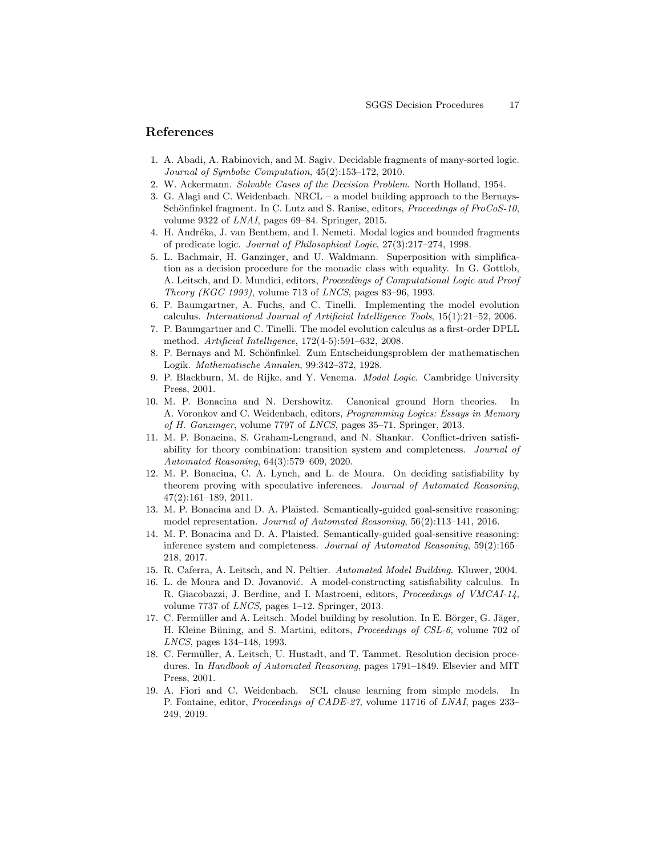# References

- <span id="page-16-10"></span>1. A. Abadi, A. Rabinovich, and M. Sagiv. Decidable fragments of many-sorted logic. Journal of Symbolic Computation, 45(2):153–172, 2010.
- <span id="page-16-5"></span>2. W. Ackermann. Solvable Cases of the Decision Problem. North Holland, 1954.
- <span id="page-16-3"></span>3. G. Alagi and C. Weidenbach. NRCL – a model building approach to the Bernays-Schönfinkel fragment. In C. Lutz and S. Ranise, editors, *Proceedings of FroCoS-10*, volume 9322 of LNAI, pages 69–84. Springer, 2015.
- <span id="page-16-8"></span>4. H. Andréka, J. van Benthem, and I. Nemeti. Modal logics and bounded fragments of predicate logic. Journal of Philosophical Logic, 27(3):217–274, 1998.
- <span id="page-16-6"></span>5. L. Bachmair, H. Ganzinger, and U. Waldmann. Superposition with simplification as a decision procedure for the monadic class with equality. In G. Gottlob, A. Leitsch, and D. Mundici, editors, Proceedings of Computational Logic and Proof Theory (KGC 1993), volume 713 of LNCS, pages 83–96, 1993.
- <span id="page-16-15"></span>6. P. Baumgartner, A. Fuchs, and C. Tinelli. Implementing the model evolution calculus. International Journal of Artificial Intelligence Tools, 15(1):21–52, 2006.
- <span id="page-16-14"></span>7. P. Baumgartner and C. Tinelli. The model evolution calculus as a first-order DPLL method. Artificial Intelligence, 172(4-5):591–632, 2008.
- <span id="page-16-2"></span>8. P. Bernays and M. Schönfinkel. Zum Entscheidungsproblem der mathematischen Logik. Mathematische Annalen, 99:342–372, 1928.
- <span id="page-16-9"></span>9. P. Blackburn, M. de Rijke, and Y. Venema. Modal Logic. Cambridge University Press, 2001.
- <span id="page-16-16"></span>10. M. P. Bonacina and N. Dershowitz. Canonical ground Horn theories. In A. Voronkov and C. Weidenbach, editors, Programming Logics: Essays in Memory of H. Ganzinger, volume 7797 of LNCS, pages 35–71. Springer, 2013.
- <span id="page-16-18"></span>11. M. P. Bonacina, S. Graham-Lengrand, and N. Shankar. Conflict-driven satisfiability for theory combination: transition system and completeness. Journal of Automated Reasoning, 64(3):579–609, 2020.
- <span id="page-16-13"></span>12. M. P. Bonacina, C. A. Lynch, and L. de Moura. On deciding satisfiability by theorem proving with speculative inferences. Journal of Automated Reasoning, 47(2):161–189, 2011.
- <span id="page-16-11"></span>13. M. P. Bonacina and D. A. Plaisted. Semantically-guided goal-sensitive reasoning: model representation. Journal of Automated Reasoning, 56(2):113–141, 2016.
- <span id="page-16-12"></span>14. M. P. Bonacina and D. A. Plaisted. Semantically-guided goal-sensitive reasoning: inference system and completeness. Journal of Automated Reasoning, 59(2):165– 218, 2017.
- <span id="page-16-1"></span>15. R. Caferra, A. Leitsch, and N. Peltier. Automated Model Building. Kluwer, 2004.
- <span id="page-16-17"></span>16. L. de Moura and D. Jovanović. A model-constructing satisfiability calculus. In R. Giacobazzi, J. Berdine, and I. Mastroeni, editors, Proceedings of VMCAI-14, volume 7737 of LNCS, pages 1–12. Springer, 2013.
- <span id="page-16-7"></span>17. C. Fermüller and A. Leitsch. Model building by resolution. In E. Börger, G. Jäger. H. Kleine Büning, and S. Martini, editors, *Proceedings of CSL-6*, volume 702 of LNCS, pages 134–148, 1993.
- <span id="page-16-0"></span>18. C. Fermüller, A. Leitsch, U. Hustadt, and T. Tammet. Resolution decision procedures. In Handbook of Automated Reasoning, pages 1791–1849. Elsevier and MIT Press, 2001.
- <span id="page-16-4"></span>19. A. Fiori and C. Weidenbach. SCL clause learning from simple models. In P. Fontaine, editor, *Proceedings of CADE-27*, volume 11716 of *LNAI*, pages 233-249, 2019.